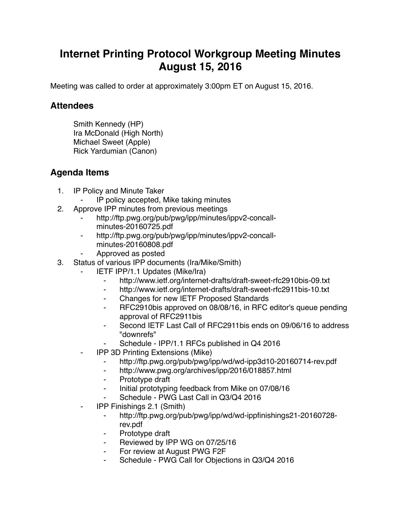## **Internet Printing Protocol Workgroup Meeting Minutes August 15, 2016**

Meeting was called to order at approximately 3:00pm ET on August 15, 2016.

## **Attendees**

Smith Kennedy (HP) Ira McDonald (High North) Michael Sweet (Apple) Rick Yardumian (Canon)

## **Agenda Items**

- 1. IP Policy and Minute Taker
	- IP policy accepted, Mike taking minutes
- 2. Approve IPP minutes from previous meetings
	- http://ftp.pwg.org/pub/pwg/ipp/minutes/ippv2-concallminutes-20160725.pdf
	- ⁃ http://ftp.pwg.org/pub/pwg/ipp/minutes/ippv2-concallminutes-20160808.pdf
	- ⁃ Approved as posted
- 3. Status of various IPP documents (Ira/Mike/Smith)
	- **IETF IPP/1.1 Updates (Mike/Ira)** 
		- ⁃ http://www.ietf.org/internet-drafts/draft-sweet-rfc2910bis-09.txt
		- ⁃ http://www.ietf.org/internet-drafts/draft-sweet-rfc2911bis-10.txt
		- ⁃ Changes for new IETF Proposed Standards
		- ⁃ RFC2910bis approved on 08/08/16, in RFC editor's queue pending approval of RFC2911bis
		- Second IETF Last Call of RFC2911bis ends on 09/06/16 to address "downrefs"
		- Schedule IPP/1.1 RFCs published in Q4 2016
	- **IPP 3D Printing Extensions (Mike)** 
		- ⁃ http://ftp.pwg.org/pub/pwg/ipp/wd/wd-ipp3d10-20160714-rev.pdf
		- ⁃ http://www.pwg.org/archives/ipp/2016/018857.html
		- ⁃ Prototype draft
		- ⁃ Initial prototyping feedback from Mike on 07/08/16
		- Schedule PWG Last Call in Q3/Q4 2016
	- ⁃ IPP Finishings 2.1 (Smith)
		- ⁃ http://ftp.pwg.org/pub/pwg/ipp/wd/wd-ippfinishings21-20160728 rev.pdf
		- ⁃ Prototype draft
		- Reviewed by IPP WG on 07/25/16
		- For review at August PWG F2F
		- Schedule PWG Call for Objections in Q3/Q4 2016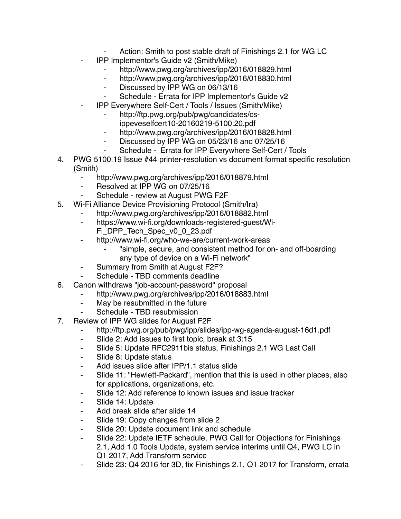- Action: Smith to post stable draft of Finishings 2.1 for WG LC
- ⁃ IPP Implementor's Guide v2 (Smith/Mike)
	- http://www.pwg.org/archives/ipp/2016/018829.html
	- ⁃ http://www.pwg.org/archives/ipp/2016/018830.html
	- ⁃ Discussed by IPP WG on 06/13/16
	- Schedule Errata for IPP Implementor's Guide v2
	- ⁃ IPP Everywhere Self-Cert / Tools / Issues (Smith/Mike)
		- http://ftp.pwg.org/pub/pwg/candidates/cs
			- ippeveselfcert10-20160219-5100.20.pdf
		- ⁃ http://www.pwg.org/archives/ipp/2016/018828.html
		- Discussed by IPP WG on 05/23/16 and 07/25/16
		- Schedule Errata for IPP Everywhere Self-Cert / Tools
- 4. PWG 5100.19 Issue #44 printer-resolution vs document format specific resolution (Smith)
	- ⁃ http://www.pwg.org/archives/ipp/2016/018879.html
	- Resolved at IPP WG on 07/25/16
	- Schedule review at August PWG F2F
- 5. Wi-Fi Alliance Device Provisioning Protocol (Smith/Ira)
	- http://www.pwg.org/archives/ipp/2016/018882.html
	- ⁃ https://www.wi-fi.org/downloads-registered-guest/Wi-Fi\_DPP\_Tech\_Spec\_v0\_0\_23.pdf
	- ⁃ http://www.wi-fi.org/who-we-are/current-work-areas
		- ⁃ "simple, secure, and consistent method for on- and off-boarding any type of device on a Wi-Fi network"
	- ⁃ Summary from Smith at August F2F?
	- Schedule TBD comments deadline
- 6. Canon withdraws "job-account-password" proposal
	- http://www.pwg.org/archives/ipp/2016/018883.html
	- ⁃ May be resubmitted in the future
	- Schedule TBD resubmission
- 7. Review of IPP WG slides for August F2F
	- ⁃ http://ftp.pwg.org/pub/pwg/ipp/slides/ipp-wg-agenda-august-16d1.pdf
	- Slide 2: Add issues to first topic, break at 3:15
	- ⁃ Slide 5: Update RFC2911bis status, Finishings 2.1 WG Last Call
	- ⁃ Slide 8: Update status
	- ⁃ Add issues slide after IPP/1.1 status slide
	- ⁃ Slide 11: "Hewlett-Packard", mention that this is used in other places, also for applications, organizations, etc.
	- ⁃ Slide 12: Add reference to known issues and issue tracker
	- ⁃ Slide 14: Update
	- ⁃ Add break slide after slide 14
	- ⁃ Slide 19: Copy changes from slide 2
	- Slide 20: Update document link and schedule
	- Slide 22: Update IETF schedule, PWG Call for Objections for Finishings 2.1, Add 1.0 Tools Update, system service interims until Q4, PWG LC in Q1 2017, Add Transform service
	- ⁃ Slide 23: Q4 2016 for 3D, fix Finishings 2.1, Q1 2017 for Transform, errata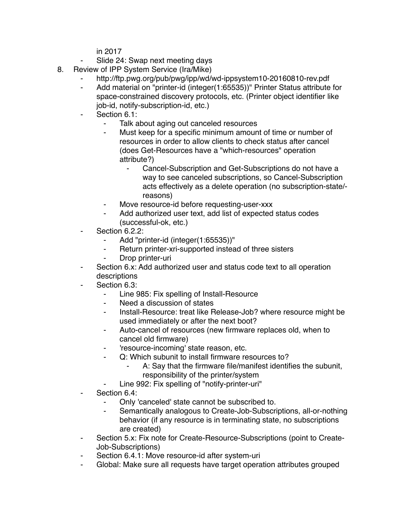in 2017

- Slide 24: Swap next meeting days
- 8. Review of IPP System Service (Ira/Mike)
	- http://ftp.pwg.org/pub/pwg/ipp/wd/wd-ippsystem10-20160810-rev.pdf
	- ⁃ Add material on "printer-id (integer(1:65535))" Printer Status attribute for space-constrained discovery protocols, etc. (Printer object identifier like job-id, notify-subscription-id, etc.)
	- Section 6.1:
		- Talk about aging out canceled resources
		- Must keep for a specific minimum amount of time or number of resources in order to allow clients to check status after cancel (does Get-Resources have a "which-resources" operation attribute?)
			- ⁃ Cancel-Subscription and Get-Subscriptions do not have a way to see canceled subscriptions, so Cancel-Subscription acts effectively as a delete operation (no subscription-state/ reasons)
		- Move resource-id before requesting-user-xxx
		- Add authorized user text, add list of expected status codes (successful-ok, etc.)
	- Section 6.2.2:
		- Add "printer-id (integer(1:65535))"
		- Return printer-xri-supported instead of three sisters
		- ⁃ Drop printer-uri
	- Section 6.x: Add authorized user and status code text to all operation descriptions
	- Section 6.3:
		- ⁃ Line 985: Fix spelling of Install-Resource
		- Need a discussion of states
		- Install-Resource: treat like Release-Job? where resource might be used immediately or after the next boot?
		- ⁃ Auto-cancel of resources (new firmware replaces old, when to cancel old firmware)
		- ⁃ 'resource-incoming' state reason, etc.
		- ⁃ Q: Which subunit to install firmware resources to?
			- A: Sav that the firmware file/manifest identifies the subunit, responsibility of the printer/system
		- Line 992: Fix spelling of "notify-printer-uri"
	- Section 6.4:
		- Only 'canceled' state cannot be subscribed to.
		- Semantically analogous to Create-Job-Subscriptions, all-or-nothing behavior (if any resource is in terminating state, no subscriptions are created)
	- Section 5.x: Fix note for Create-Resource-Subscriptions (point to Create-Job-Subscriptions)
	- Section 6.4.1: Move resource-id after system-uri
	- ⁃ Global: Make sure all requests have target operation attributes grouped